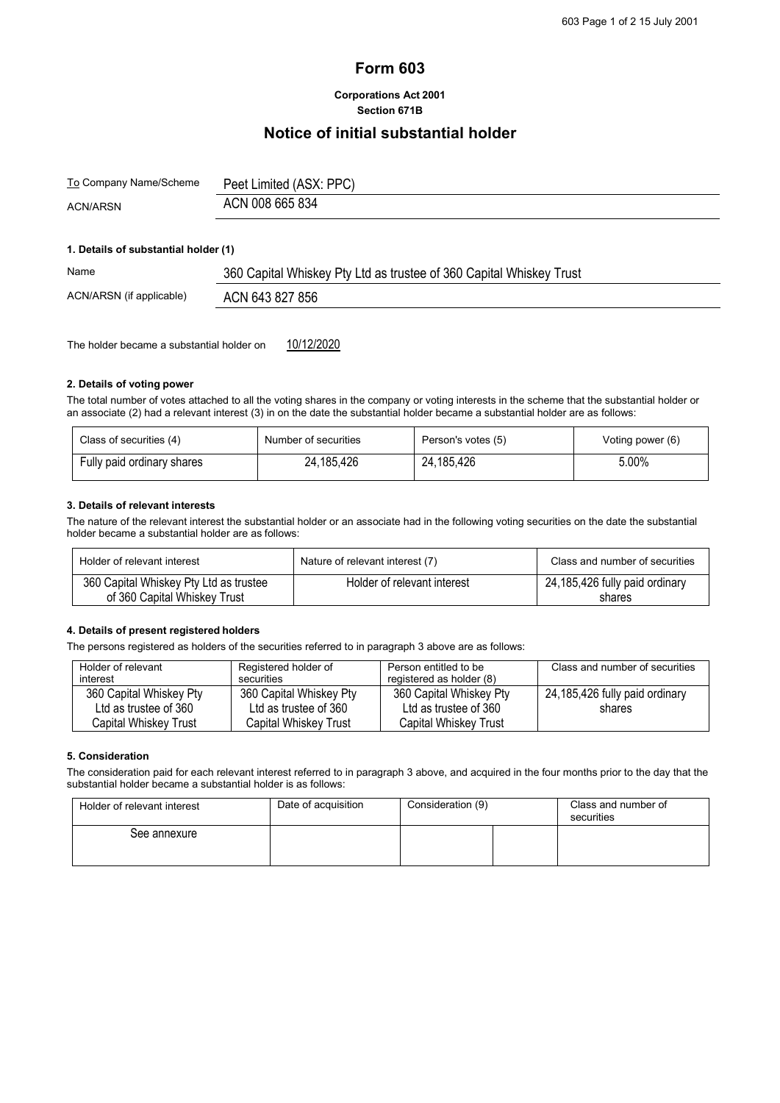# **Form 603**

# **Corporations Act 2001 Section 671B**

# **Notice of initial substantial holder**

| <u>To</u> Company Name/Scheme | Peet Limited (ASX: PPC) |
|-------------------------------|-------------------------|
| <b>ACN/ARSN</b>               | ACN 008 665 834         |

## **1. Details of substantial holder (1)**

| Name                     | 360 Capital Whiskey Pty Ltd as trustee of 360 Capital Whiskey Trust |  |  |  |
|--------------------------|---------------------------------------------------------------------|--|--|--|
| ACN/ARSN (if applicable) | ACN 643 827 856                                                     |  |  |  |

The holder became a substantial holder on  $10/12/2020$ 

#### **2. Details of voting power**

The total number of votes attached to all the voting shares in the company or voting interests in the scheme that the substantial holder or an associate (2) had a relevant interest (3) in on the date the substantial holder became a substantial holder are as follows:

| Class of securities (4)    | Number of securities | Person's votes (5) | Voting power (6) |
|----------------------------|----------------------|--------------------|------------------|
| Fully paid ordinary shares | 24,185,426           | 24,185,426         | 5.00%            |

#### **3. Details of relevant interests**

The nature of the relevant interest the substantial holder or an associate had in the following voting securities on the date the substantial holder became a substantial holder are as follows:

| Holder of relevant interest                                            | Nature of relevant interest (7) | Class and number of securities           |
|------------------------------------------------------------------------|---------------------------------|------------------------------------------|
| 360 Capital Whiskey Pty Ltd as trustee<br>of 360 Capital Whiskey Trust | Holder of relevant interest     | 24,185,426 fully paid ordinary<br>shares |

### **4. Details of present registered holders**

The persons registered as holders of the securities referred to in paragraph 3 above are as follows:

| Holder of relevant<br>interest | Registered holder of<br>securities | Person entitled to be<br>registered as holder (8) | Class and number of securities |
|--------------------------------|------------------------------------|---------------------------------------------------|--------------------------------|
| 360 Capital Whiskey Pty        | 360 Capital Whiskey Pty            | 360 Capital Whiskey Pty                           | 24,185,426 fully paid ordinary |
| Ltd as trustee of 360          | Ltd as trustee of 360              | Ltd as trustee of 360                             | shares                         |
| Capital Whiskev Trust          | Capital Whiskey Trust              | Capital Whiskey Trust                             |                                |

## **5. Consideration**

The consideration paid for each relevant interest referred to in paragraph 3 above, and acquired in the four months prior to the day that the substantial holder became a substantial holder is as follows:

| Holder of relevant interest | Date of acquisition | Consideration (9) |  | Class and number of<br>securities |
|-----------------------------|---------------------|-------------------|--|-----------------------------------|
| See annexure                |                     |                   |  |                                   |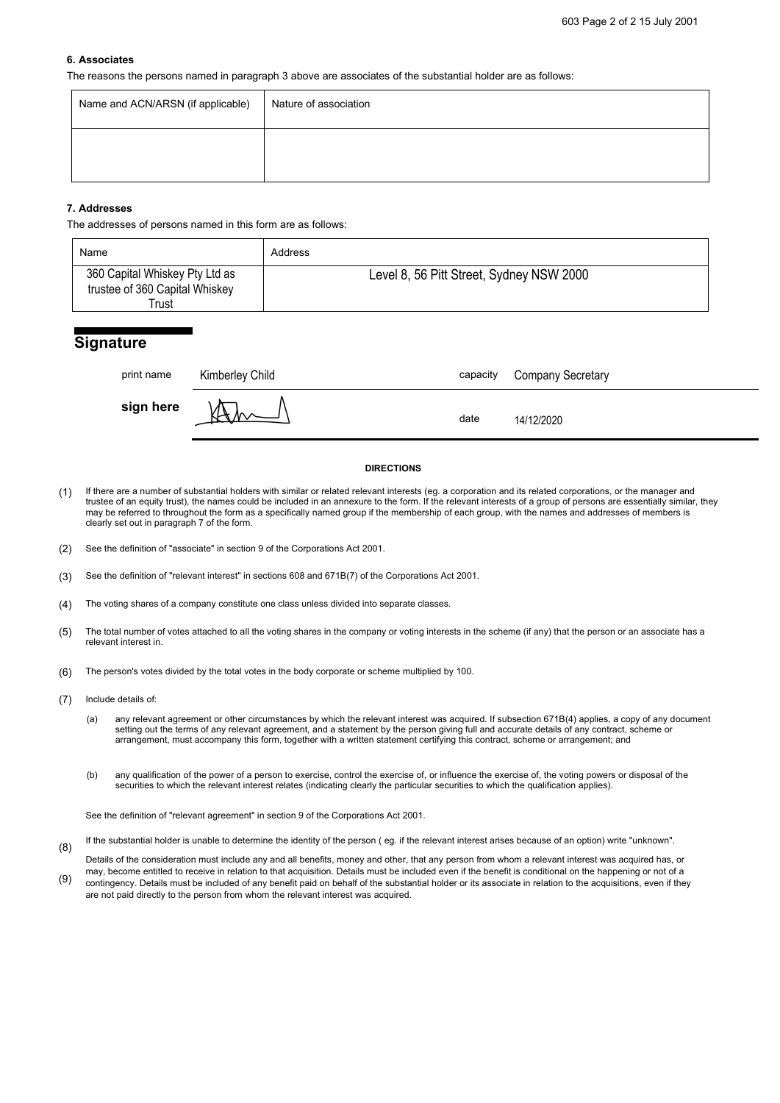#### **6. Associates**

The reasons the persons named in paragraph 3 above are associates of the substantial holder are as follows:

| Name and ACN/ARSN (if applicable) | Nature of association |
|-----------------------------------|-----------------------|
|                                   |                       |

# **7. Addresses**

The addresses of persons named in this form are as follows:

| Name                                                                      | Address                                  |
|---------------------------------------------------------------------------|------------------------------------------|
| 360 Capital Whiskey Pty Ltd as<br>trustee of 360 Capital Whiskey<br>Trust | Level 8, 56 Pitt Street, Sydney NSW 2000 |

# **Signature**

| print name | Kimberley Child | capacity | <b>Company Secretary</b> |
|------------|-----------------|----------|--------------------------|
| sign here  | .⊷м ∧∧          | date     | 14/12/2020               |

### **DIRECTIONS**

- (1) If there are a number of substantial holders with similar or related relevant interests (eg. a corporation and its related corporations, or the manager and trustee of an equity trust), the names could be included in an annexure to the form. If the relevant interests of a group of persons are essentially similar, they may be referred to throughout the form as a specifically named group if the membership of each group, with the names and addresses of members is clearly set out in paragraph 7 of the form.
- (2) See the definition of "associate" in section 9 of the Corporations Act 2001.
- (3) See the definition of "relevant interest" in sections 608 and 671B(7) of the Corporations Act 2001.
- (4) The voting shares of a company constitute one class unless divided into separate classes.
- (5) The total number of votes attached to all the voting shares in the company or voting interests in the scheme (if any) that the person or an associate has a relevant interest in.
- (6) The person's votes divided by the total votes in the body corporate or scheme multiplied by 100.
- (7) Include details of:
	- (a) any relevant agreement or other circumstances by which the relevant interest was acquired. If subsection 671B(4) applies, a copy of any document setting out the terms of any relevant agreement, and a statement by the person giving full and accurate details of any contract, scheme or arrangement, must accompany this form, together with a written statement certifying this contract, scheme or arrangement; and
	- (b) any qualification of the power of a person to exercise, control the exercise of, or influence the exercise of, the voting powers or disposal of the securities to which the relevant interest relates (indicating clearly the particular securities to which the qualification applies).

See the definition of "relevant agreement" in section 9 of the Corporations Act 2001.

- (8) If the substantial holder is unable to determine the identity of the person ( eg. if the relevant interest arises because of an option) write "unknown".
- (9) Details of the consideration must include any and all benefits, money and other, that any person from whom a relevant interest was acquired has, or may, become entitled to receive in relation to that acquisition. Details must be included even if the benefit is conditional on the happening or not of a contingency. Details must be included of any benefit paid on behalf of the substantial holder or its associate in relation to the acquisitions, even if they are not paid directly to the person from whom the relevant interest was acquired.